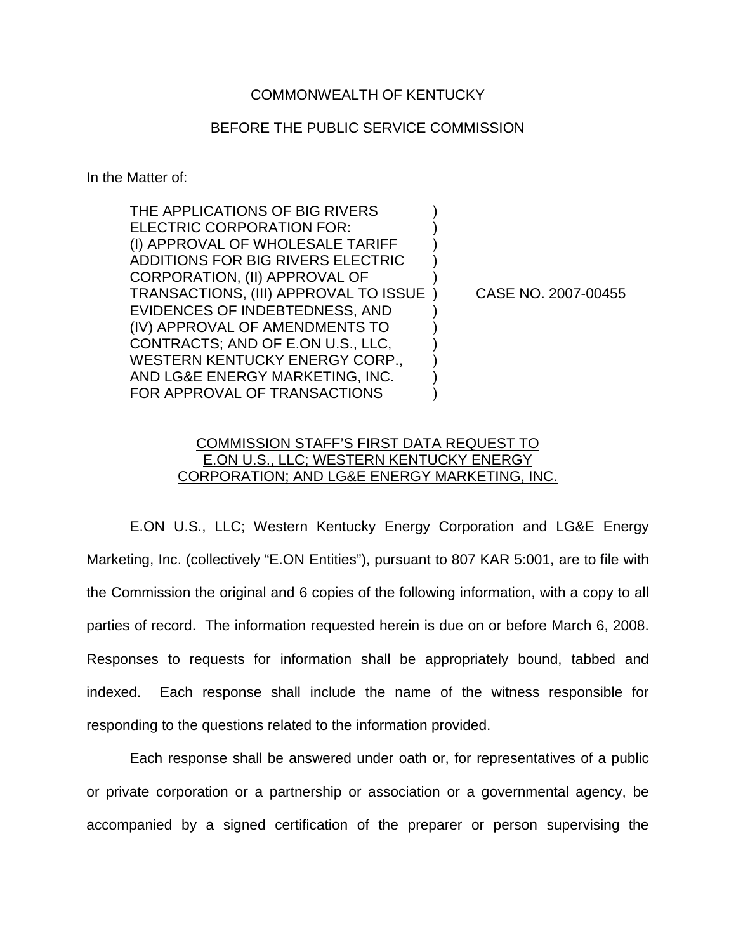## COMMONWEALTH OF KENTUCKY

## BEFORE THE PUBLIC SERVICE COMMISSION

In the Matter of:

THE APPLICATIONS OF BIG RIVERS ELECTRIC CORPORATION FOR: (I) APPROVAL OF WHOLESALE TARIFF ) ADDITIONS FOR BIG RIVERS ELECTRIC ) CORPORATION, (II) APPROVAL OF ) TRANSACTIONS, (III) APPROVAL TO ISSUE ) CASE NO. 2007-00455 EVIDENCES OF INDEBTEDNESS, AND ) (IV) APPROVAL OF AMENDMENTS TO ) CONTRACTS; AND OF E.ON U.S., LLC, ) WESTERN KENTUCKY ENERGY CORP., AND LG&E ENERGY MARKETING, INC. ) FOR APPROVAL OF TRANSACTIONS

## COMMISSION STAFF'S FIRST DATA REQUEST TO E.ON U.S., LLC; WESTERN KENTUCKY ENERGY CORPORATION; AND LG&E ENERGY MARKETING, INC.

E.ON U.S., LLC; Western Kentucky Energy Corporation and LG&E Energy Marketing, Inc. (collectively "E.ON Entities"), pursuant to 807 KAR 5:001, are to file with the Commission the original and 6 copies of the following information, with a copy to all parties of record. The information requested herein is due on or before March 6, 2008. Responses to requests for information shall be appropriately bound, tabbed and indexed. Each response shall include the name of the witness responsible for responding to the questions related to the information provided.

Each response shall be answered under oath or, for representatives of a public or private corporation or a partnership or association or a governmental agency, be accompanied by a signed certification of the preparer or person supervising the